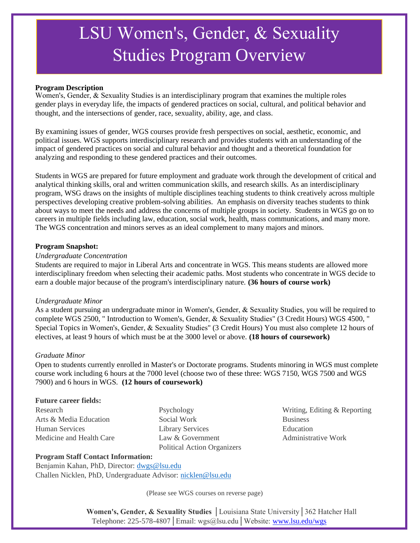# LSU Women's, Gender, & Sexuality Studies Program Overview

#### **Program Description**

Women's, Gender, & Sexuality Studies is an interdisciplinary program that examines the multiple roles gender plays in everyday life, the impacts of gendered practices on social, cultural, and political behavior and thought, and the intersections of gender, race, sexuality, ability, age, and class.

By examining issues of gender, WGS courses provide fresh perspectives on social, aesthetic, economic, and political issues. WGS supports interdisciplinary research and provides students with an understanding of the impact of gendered practices on social and cultural behavior and thought and a theoretical foundation for analyzing and responding to these gendered practices and their outcomes.

Students in WGS are prepared for future employment and graduate work through the development of critical and analytical thinking skills, oral and written communication skills, and research skills. As an interdisciplinary program, WSG draws on the insights of multiple disciplines teaching students to think creatively across multiple perspectives developing creative problem-solving abilities. An emphasis on diversity teaches students to think about ways to meet the needs and address the concerns of multiple groups in society. Students in WGS go on to careers in multiple fields including law, education, social work, health, mass communications, and many more. The WGS concentration and minors serves as an ideal complement to many majors and minors.

#### **Program Snapshot:**

#### *Undergraduate Concentration*

Students are required to major in Liberal Arts and concentrate in WGS. This means students are allowed more interdisciplinary freedom when selecting their academic paths. Most students who concentrate in WGS decide to earn a double major because of the program's interdisciplinary nature. **(36 hours of course work)**

#### *Undergraduate Minor*

As a student pursuing an undergraduate minor in Women's, Gender, & Sexuality Studies, you will be required to complete WGS 2500, " Introduction to Women's, Gender, & Sexuality Studies" (3 Credit Hours) WGS 4500, " Special Topics in Women's, Gender, & Sexuality Studies" (3 Credit Hours) You must also complete 12 hours of electives, at least 9 hours of which must be at the 3000 level or above. **(18 hours of coursework)**

#### *Graduate Minor*

Open to students currently enrolled in Master's or Doctorate programs. Students minoring in WGS must complete course work including 6 hours at the 7000 level (choose two of these three: WGS 7150, WGS 7500 and WGS 7900) and 6 hours in WGS. **(12 hours of coursework)**

#### **Future career fields:**

Arts & Media Education Social Work Business Human Services Library Services Education Medicine and Health Care Law & Government Administrative Work Political Action Organizers

Research Psychology Providence Psychology Writing, Editing & Reporting

#### **Program Staff Contact Information:**

 Benjamin Kahan, PhD, Director: dwgs@lsu.edu Challen Nicklen, PhD, Undergraduate Advisor: nicklen@lsu.edu

(Please see WGS courses on reverse page)

**Women's, Gender, & Sexuality Studies** │Louisiana State University│362 Hatcher Hall Telephone: 225-578-4807│Email: wgs@lsu.edu│Website: www.lsu.edu/wgs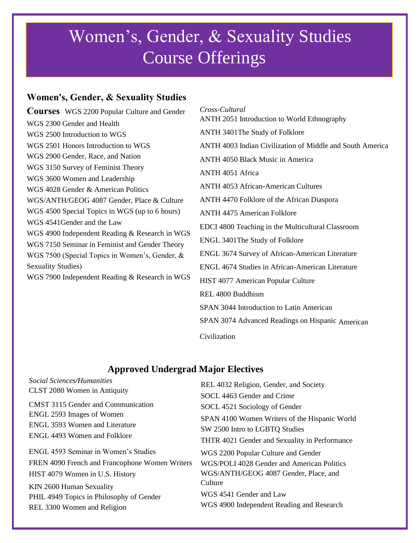## Women's, Gender, & Sexuality Studies Course Offerings

## **Women's, Gender, & Sexuality Studies**

**Courses** WGS 2200 Popular Culture and Gender WGS 2300 Gender and Health WGS 2500 Introduction to WGS WGS 2501 Honors Introduction to WGS WGS 2900 Gender, Race, and Nation WGS 3150 Survey of Feminist Theory WGS 3600 Women and Leadership WGS 4028 Gender & American Politics WGS/ANTH/GEOG 4087 Gender, Place & Culture WGS 4500 Special Topics in WGS (up to 6 hours) WGS 4541Gender and the Law WGS 4900 Independent Reading & Research in WGS WGS 7150 Seminar in Feminist and Gender Theory WGS 7500 (Special Topics in Women's, Gender, & Sexuality Studies) WGS 7900 Independent Reading & Research in WGS

 *Cross-Cultural* ANTH 2051 Introduction to World Ethnography ANTH 3401The Study of Folklore ANTH 4003 Indian Civilization of Middle and South America ANTH 4050 Black Music in America ANTH 4051 Africa ANTH 4053 African-American Cultures ANTH 4470 Folklore of the African Diaspora ANTH 4475 American Folklore EDCI 4800 Teaching in the Multicultural Classroom ENGL 3401The Study of Folklore ENGL 3674 Survey of African-American Literature ENGL 4674 Studies in African-American Literature HIST 4077 American Popular Culture REL 4800 Buddhism SPAN 3044 Introduction to Latin American SPAN 3074 Advanced Readings on Hispanic American Civilization

### **Approved Undergrad Major Electives**

| Social Sciences/Humanities                     | REL 4032 Religion, Gender, and Society        |
|------------------------------------------------|-----------------------------------------------|
| CLST 2080 Women in Antiquity                   | SOCL 4463 Gender and Crime                    |
| <b>CMST 3115 Gender and Communication</b>      | SOCL 4521 Sociology of Gender                 |
| ENGL 2593 Images of Women                      | SPAN 4100 Women Writers of the Hispanic World |
| ENGL 3593 Women and Literature                 | SW 2500 Intro to LGBTQ Studies                |
| ENGL 4493 Women and Folklore                   | THTR 4021 Gender and Sexuality in Performance |
| ENGL 4593 Seminar in Women's Studies           | WGS 2200 Popular Culture and Gender           |
| FREN 4090 French and Francophone Women Writers | WGS/POLI 4028 Gender and American Politics    |
| HIST 4079 Women in U.S. History                | WGS/ANTH/GEOG 4087 Gender, Place, and         |
| KIN 2600 Human Sexuality                       | Culture                                       |
| PHIL 4949 Topics in Philosophy of Gender       | WGS 4541 Gender and Law                       |
| REL 3300 Women and Religion                    | WGS 4900 Independent Reading and Research     |